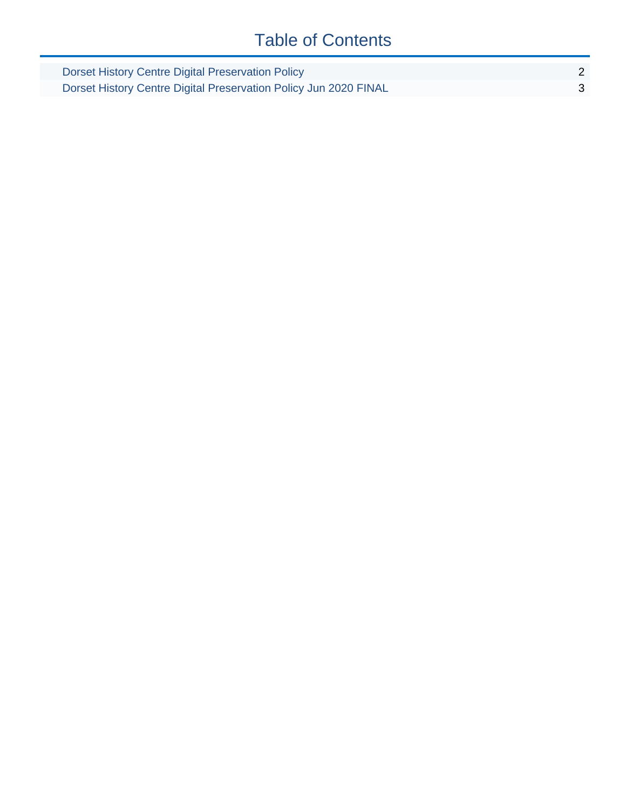## Table of Contents

| Dorset History Centre Digital Preservation Policy                |  |
|------------------------------------------------------------------|--|
| Dorset History Centre Digital Preservation Policy Jun 2020 FINAL |  |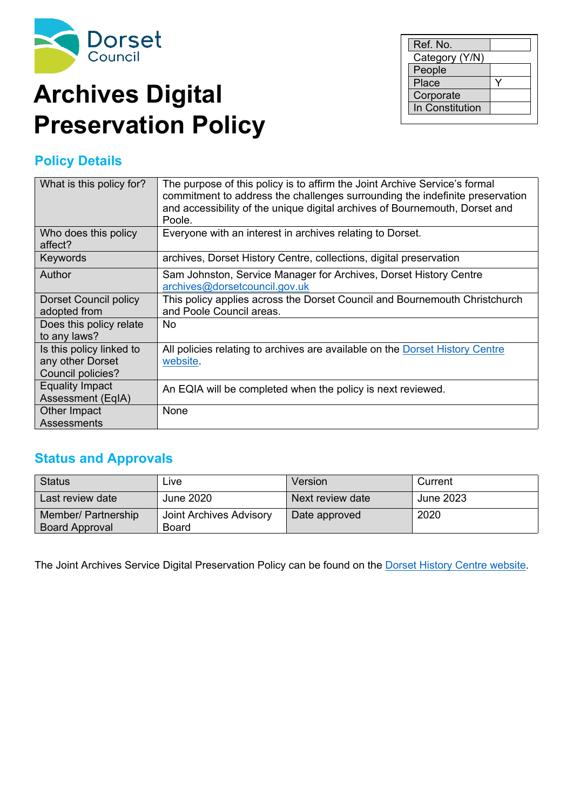<span id="page-1-0"></span>

# **Archives Digital Preservation Policy**

## **Policy Details**

| What is this policy for?                                          | The purpose of this policy is to affirm the Joint Archive Service's formal<br>commitment to address the challenges surrounding the indefinite preservation<br>and accessibility of the unique digital archives of Bournemouth, Dorset and<br>Poole. |
|-------------------------------------------------------------------|-----------------------------------------------------------------------------------------------------------------------------------------------------------------------------------------------------------------------------------------------------|
| Who does this policy<br>affect?                                   | Everyone with an interest in archives relating to Dorset.                                                                                                                                                                                           |
| Keywords                                                          | archives, Dorset History Centre, collections, digital preservation                                                                                                                                                                                  |
| Author                                                            | Sam Johnston, Service Manager for Archives, Dorset History Centre<br>archives@dorsetcouncil.gov.uk                                                                                                                                                  |
| <b>Dorset Council policy</b><br>adopted from                      | This policy applies across the Dorset Council and Bournemouth Christchurch<br>and Poole Council areas.                                                                                                                                              |
| Does this policy relate<br>to any laws?                           | No.                                                                                                                                                                                                                                                 |
| Is this policy linked to<br>any other Dorset<br>Council policies? | All policies relating to archives are available on the Dorset History Centre<br>website.                                                                                                                                                            |
| <b>Equality Impact</b><br>Assessment (EqIA)                       | An EQIA will be completed when the policy is next reviewed.                                                                                                                                                                                         |
| Other Impact<br>Assessments                                       | None                                                                                                                                                                                                                                                |

### **Status and Approvals**

| <b>Status</b>                                | Live                             | Version          | Current   |
|----------------------------------------------|----------------------------------|------------------|-----------|
| Last review date                             | June 2020                        | Next review date | June 2023 |
| Member/ Partnership<br><b>Board Approval</b> | Joint Archives Advisory<br>Board | Date approved    | 2020      |

The Joint Archives Service Digital Preservation Policy can be found on the Dorset History Centre [website.](https://www.dorsetcouncil.gov.uk/libraries-history-culture/dorset-history-centre/dorset-history-centre-pdfs/dorset-history-centre-digital-preservation-policy.pdf)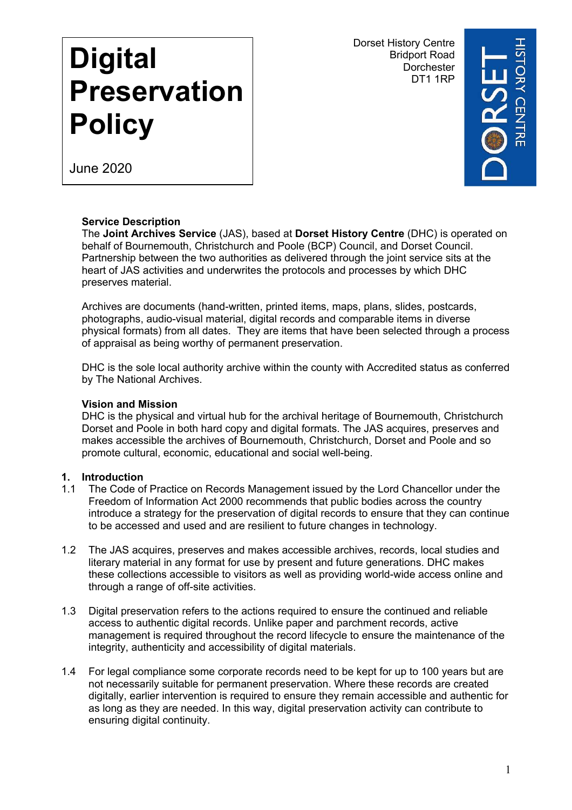DT1 1RP Dorset History Centre Bridport Road **Dorchester** 



June 2020

<span id="page-2-0"></span>**Digital**

**Policy**

**Preservation**

#### **Service Description**

The **Joint Archives Service** (JAS), based at **Dorset History Centre** (DHC) is operated on behalf of Bournemouth, Christchurch and Poole (BCP) Council, and Dorset Council. Partnership between the two authorities as delivered through the joint service sits at the heart of JAS activities and underwrites the protocols and processes by which DHC preserves material.

Archives are documents (hand-written, printed items, maps, plans, slides, postcards, photographs, audio-visual material, digital records and comparable items in diverse physical formats) from all dates. They are items that have been selected through a process of appraisal as being worthy of permanent preservation.

DHC is the sole local authority archive within the county with Accredited status as conferred by The National Archives.

#### **Vision and Mission**

DHC is the physical and virtual hub for the archival heritage of Bournemouth, Christchurch Dorset and Poole in both hard copy and digital formats. The JAS acquires, preserves and makes accessible the archives of Bournemouth, Christchurch, Dorset and Poole and so promote cultural, economic, educational and social well-being.

#### **1. Introduction**

- 1.1 The Code of Practice on Records Management issued by the Lord Chancellor under the Freedom of Information Act 2000 recommends that public bodies across the country introduce a strategy for the preservation of digital records to ensure that they can continue to be accessed and used and are resilient to future changes in technology.
- 1.2 The JAS acquires, preserves and makes accessible archives, records, local studies and literary material in any format for use by present and future generations. DHC makes these collections accessible to visitors as well as providing world-wide access online and through a range of off-site activities.
- 1.3 Digital preservation refers to the actions required to ensure the continued and reliable access to authentic digital records. Unlike paper and parchment records, active management is required throughout the record lifecycle to ensure the maintenance of the integrity, authenticity and accessibility of digital materials.
- 1.4 For legal compliance some corporate records need to be kept for up to 100 years but are not necessarily suitable for permanent preservation. Where these records are created digitally, earlier intervention is required to ensure they remain accessible and authentic for as long as they are needed. In this way, digital preservation activity can contribute to ensuring digital continuity.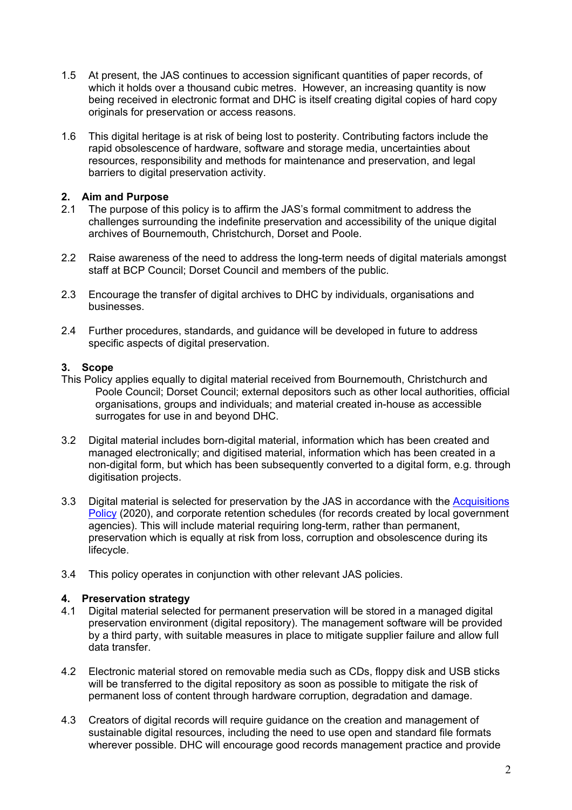- 1.5 At present, the JAS continues to accession significant quantities of paper records, of which it holds over a thousand cubic metres. However, an increasing quantity is now being received in electronic format and DHC is itself creating digital copies of hard copy originals for preservation or access reasons.
- 1.6 This digital heritage is at risk of being lost to posterity. Contributing factors include the rapid obsolescence of hardware, software and storage media, uncertainties about resources, responsibility and methods for maintenance and preservation, and legal barriers to digital preservation activity.

#### **2. Aim and Purpose**

- 2.1 The purpose of this policy is to affirm the JAS's formal commitment to address the challenges surrounding the indefinite preservation and accessibility of the unique digital archives of Bournemouth, Christchurch, Dorset and Poole.
- 2.2 Raise awareness of the need to address the long-term needs of digital materials amongst staff at BCP Council; Dorset Council and members of the public.
- 2.3 Encourage the transfer of digital archives to DHC by individuals, organisations and businesses.
- 2.4 Further procedures, standards, and guidance will be developed in future to address specific aspects of digital preservation.

#### **3. Scope**

- This Policy applies equally to digital material received from Bournemouth, Christchurch and Poole Council; Dorset Council; external depositors such as other local authorities, official organisations, groups and individuals; and material created in-house as accessible surrogates for use in and beyond DHC.
- 3.2 Digital material includes born-digital material, information which has been created and managed electronically; and digitised material, information which has been created in a non-digital form, but which has been subsequently converted to a digital form, e.g. through digitisation projects.
- 3.3 Digital material is selected for preservation by the JAS in accordance with the [Acquisitions](https://www.dorsetcouncil.gov.uk/libraries-history-culture/dorset-history-centre/dorset-history-centre-pdfs/dorset-history-centre-acquisition-policy.pdf) [Policy](https://www.dorsetcouncil.gov.uk/libraries-history-culture/dorset-history-centre/dorset-history-centre-pdfs/dorset-history-centre-acquisition-policy.pdf) (2020), and corporate retention schedules (for records created by local government agencies). This will include material requiring long-term, rather than permanent, preservation which is equally at risk from loss, corruption and obsolescence during its lifecycle.
- 3.4 This policy operates in conjunction with other relevant JAS policies.

#### **4. Preservation strategy**

- 4.1 Digital material selected for permanent preservation will be stored in a managed digital preservation environment (digital repository). The management software will be provided by a third party, with suitable measures in place to mitigate supplier failure and allow full data transfer.
- 4.2 Electronic material stored on removable media such as CDs, floppy disk and USB sticks will be transferred to the digital repository as soon as possible to mitigate the risk of permanent loss of content through hardware corruption, degradation and damage.
- 4.3 Creators of digital records will require guidance on the creation and management of sustainable digital resources, including the need to use open and standard file formats wherever possible. DHC will encourage good records management practice and provide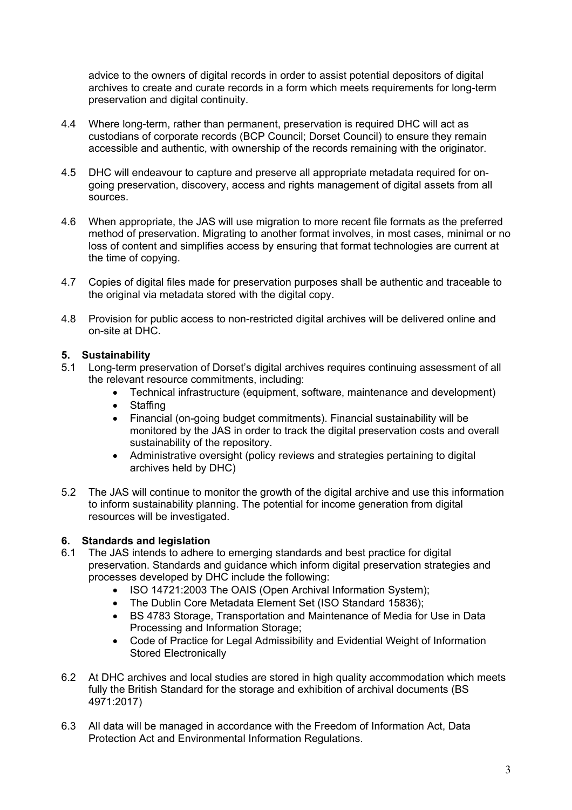advice to the owners of digital records in order to assist potential depositors of digital archives to create and curate records in a form which meets requirements for long-term preservation and digital continuity.

- 4.4 Where long-term, rather than permanent, preservation is required DHC will act as custodians of corporate records (BCP Council; Dorset Council) to ensure they remain accessible and authentic, with ownership of the records remaining with the originator.
- 4.5 DHC will endeavour to capture and preserve all appropriate metadata required for ongoing preservation, discovery, access and rights management of digital assets from all sources.
- 4.6 When appropriate, the JAS will use migration to more recent file formats as the preferred method of preservation. Migrating to another format involves, in most cases, minimal or no loss of content and simplifies access by ensuring that format technologies are current at the time of copying.
- 4.7 Copies of digital files made for preservation purposes shall be authentic and traceable to the original via metadata stored with the digital copy.
- 4.8 Provision for public access to non-restricted digital archives will be delivered online and on-site at DHC.

#### **5. Sustainability**

- 5.1 Long-term preservation of Dorset's digital archives requires continuing assessment of all the relevant resource commitments, including:
	- Technical infrastructure (equipment, software, maintenance and development)
	- Staffing
	- Financial (on-going budget commitments). Financial sustainability will be monitored by the JAS in order to track the digital preservation costs and overall sustainability of the repository.
	- Administrative oversight (policy reviews and strategies pertaining to digital archives held by DHC)
- 5.2 The JAS will continue to monitor the growth of the digital archive and use this information to inform sustainability planning. The potential for income generation from digital resources will be investigated.

#### **6. Standards and legislation**

- 6.1 The JAS intends to adhere to emerging standards and best practice for digital preservation. Standards and guidance which inform digital preservation strategies and processes developed by DHC include the following:
	- ISO 14721:2003 The OAIS (Open Archival Information System):
	- The Dublin Core Metadata Element Set (ISO Standard 15836);
	- BS 4783 Storage, Transportation and Maintenance of Media for Use in Data Processing and Information Storage;
	- Code of Practice for Legal Admissibility and Evidential Weight of Information Stored Electronically
- 6.2 At DHC archives and local studies are stored in high quality accommodation which meets fully the British Standard for the storage and exhibition of archival documents (BS 4971:2017)
- 6.3 All data will be managed in accordance with the Freedom of Information Act, Data Protection Act and Environmental Information Regulations.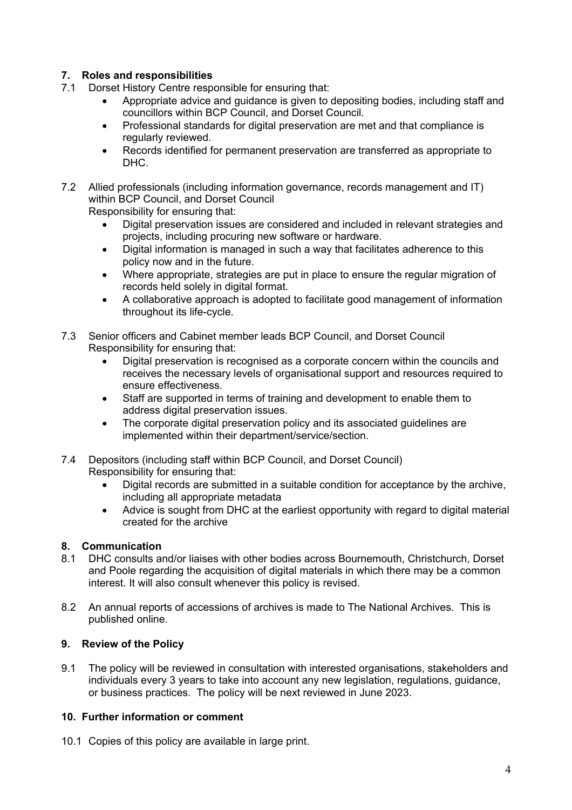#### **7. Roles and responsibilities**

- 7.1 Dorset History Centre responsible for ensuring that:
	- Appropriate advice and guidance is given to depositing bodies, including staff and councillors within BCP Council, and Dorset Council.
	- Professional standards for digital preservation are met and that compliance is regularly reviewed.
	- Records identified for permanent preservation are transferred as appropriate to DHC.
- 7.2 Allied professionals (including information governance, records management and IT) within BCP Council, and Dorset Council

Responsibility for ensuring that:

- Digital preservation issues are considered and included in relevant strategies and projects, including procuring new software or hardware.
- Digital information is managed in such a way that facilitates adherence to this policy now and in the future.
- Where appropriate, strategies are put in place to ensure the regular migration of records held solely in digital format.
- A collaborative approach is adopted to facilitate good management of information throughout its life-cycle.
- 7.3 Senior officers and Cabinet member leads BCP Council, and Dorset Council Responsibility for ensuring that:
	- Digital preservation is recognised as a corporate concern within the councils and receives the necessary levels of organisational support and resources required to ensure effectiveness.
	- Staff are supported in terms of training and development to enable them to address digital preservation issues.
	- The corporate digital preservation policy and its associated guidelines are implemented within their department/service/section.
- 7.4 Depositors (including staff within BCP Council, and Dorset Council) Responsibility for ensuring that:
	- Digital records are submitted in a suitable condition for acceptance by the archive, including all appropriate metadata
	- Advice is sought from DHC at the earliest opportunity with regard to digital material created for the archive

#### **8. Communication**

- 8.1 DHC consults and/or liaises with other bodies across Bournemouth, Christchurch, Dorset and Poole regarding the acquisition of digital materials in which there may be a common interest. It will also consult whenever this policy is revised.
- 8.2 An annual reports of accessions of archives is made to The National Archives. This is published online.

#### **9. Review of the Policy**

9.1 The policy will be reviewed in consultation with interested organisations, stakeholders and individuals every 3 years to take into account any new legislation, regulations, guidance, or business practices. The policy will be next reviewed in June 2023.

#### **10. Further information or comment**

10.1 Copies of this policy are available in large print.